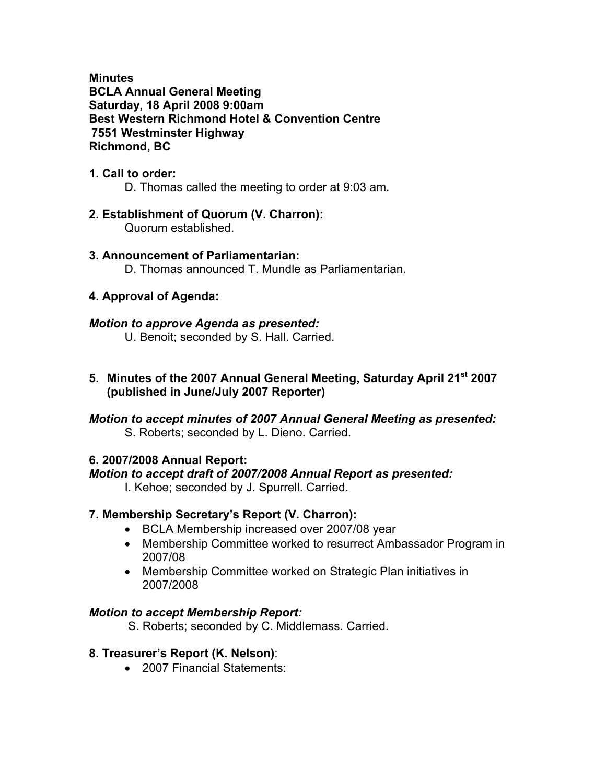**Minutes BCLA Annual General Meeting Saturday, 18 April 2008 9:00am Best Western Richmond Hotel & Convention Centre 7551 Westminster Highway Richmond, BC** 

#### **1. Call to order:**

D. Thomas called the meeting to order at 9:03 am.

# **2. Establishment of Quorum (V. Charron):**

Quorum established.

# **3. Announcement of Parliamentarian:**

D. Thomas announced T. Mundle as Parliamentarian.

#### **4. Approval of Agenda:**

#### *Motion to approve Agenda as presented:*

U. Benoit; seconded by S. Hall. Carried.

**5. Minutes of the 2007 Annual General Meeting, Saturday April 21st 2007 (published in June/July 2007 Reporter)** 

#### *Motion to accept minutes of 2007 Annual General Meeting as presented:*  S. Roberts; seconded by L. Dieno. Carried.

#### **6. 2007/2008 Annual Report:**

#### *Motion to accept draft of 2007/2008 Annual Report as presented:*

I. Kehoe; seconded by J. Spurrell. Carried.

#### **7. Membership Secretary's Report (V. Charron):**

- BCLA Membership increased over 2007/08 year
- Membership Committee worked to resurrect Ambassador Program in 2007/08
- Membership Committee worked on Strategic Plan initiatives in 2007/2008

#### *Motion to accept Membership Report:*

S. Roberts; seconded by C. Middlemass. Carried.

#### **8. Treasurer's Report (K. Nelson)**:

• 2007 Financial Statements: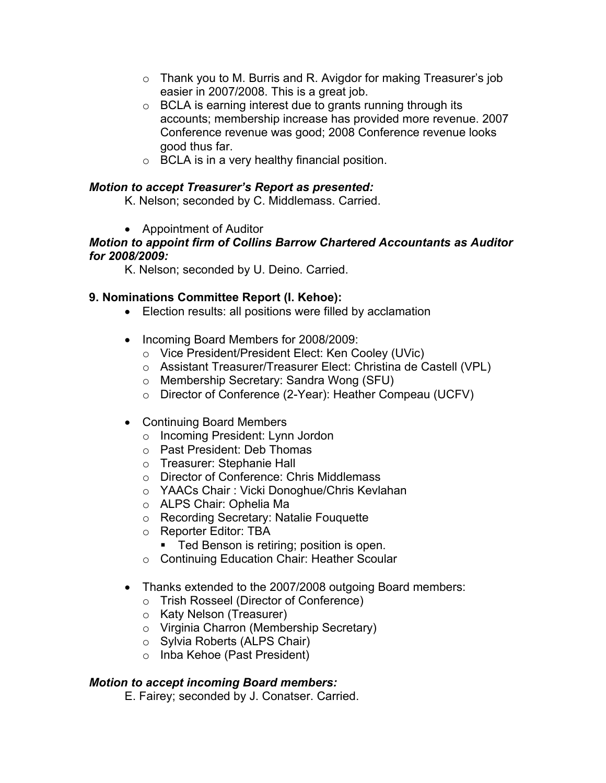- o Thank you to M. Burris and R. Avigdor for making Treasurer's job easier in 2007/2008. This is a great job.
- $\circ$  BCLA is earning interest due to grants running through its accounts; membership increase has provided more revenue. 2007 Conference revenue was good; 2008 Conference revenue looks good thus far.
- o BCLA is in a very healthy financial position.

### *Motion to accept Treasurer's Report as presented:*

K. Nelson; seconded by C. Middlemass. Carried.

• Appointment of Auditor

#### *Motion to appoint firm of Collins Barrow Chartered Accountants as Auditor for 2008/2009:*

K. Nelson; seconded by U. Deino. Carried.

## **9. Nominations Committee Report (I. Kehoe):**

- Election results: all positions were filled by acclamation
- Incoming Board Members for 2008/2009:
	- o Vice President/President Elect: Ken Cooley (UVic)
	- o Assistant Treasurer/Treasurer Elect: Christina de Castell (VPL)
	- o Membership Secretary: Sandra Wong (SFU)
	- o Director of Conference (2-Year): Heather Compeau (UCFV)
- Continuing Board Members
	- o Incoming President: Lynn Jordon
	- o Past President: Deb Thomas
	- o Treasurer: Stephanie Hall
	- o Director of Conference: Chris Middlemass
	- o YAACs Chair : Vicki Donoghue/Chris Kevlahan
	- o ALPS Chair: Ophelia Ma
	- o Recording Secretary: Natalie Fouquette
	- o Reporter Editor: TBA
		- **Ted Benson is retiring; position is open.**
	- o Continuing Education Chair: Heather Scoular
- Thanks extended to the 2007/2008 outgoing Board members:
	- o Trish Rosseel (Director of Conference)
	- o Katy Nelson (Treasurer)
	- o Virginia Charron (Membership Secretary)
	- o Sylvia Roberts (ALPS Chair)
	- o Inba Kehoe (Past President)

## *Motion to accept incoming Board members:*

E. Fairey; seconded by J. Conatser. Carried.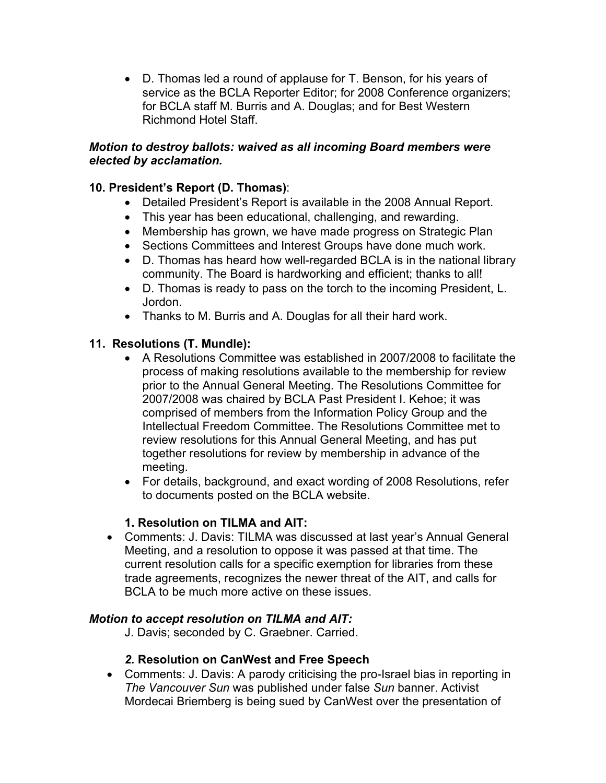• D. Thomas led a round of applause for T. Benson, for his years of service as the BCLA Reporter Editor; for 2008 Conference organizers; for BCLA staff M. Burris and A. Douglas; and for Best Western Richmond Hotel Staff.

#### *Motion to destroy ballots: waived as all incoming Board members were elected by acclamation.*

## **10. President's Report (D. Thomas)**:

- Detailed President's Report is available in the 2008 Annual Report.
- This year has been educational, challenging, and rewarding.
- Membership has grown, we have made progress on Strategic Plan
- Sections Committees and Interest Groups have done much work.
- D. Thomas has heard how well-regarded BCLA is in the national library community. The Board is hardworking and efficient; thanks to all!
- D. Thomas is ready to pass on the torch to the incoming President, L. Jordon.
- Thanks to M. Burris and A. Douglas for all their hard work.

## **11. Resolutions (T. Mundle):**

- A Resolutions Committee was established in 2007/2008 to facilitate the process of making resolutions available to the membership for review prior to the Annual General Meeting. The Resolutions Committee for 2007/2008 was chaired by BCLA Past President I. Kehoe; it was comprised of members from the Information Policy Group and the Intellectual Freedom Committee. The Resolutions Committee met to review resolutions for this Annual General Meeting, and has put together resolutions for review by membership in advance of the meeting.
- For details, background, and exact wording of 2008 Resolutions, refer to documents posted on the BCLA website.

## **1. Resolution on TILMA and AIT:**

• Comments: J. Davis: TILMA was discussed at last year's Annual General Meeting, and a resolution to oppose it was passed at that time. The current resolution calls for a specific exemption for libraries from these trade agreements, recognizes the newer threat of the AIT, and calls for BCLA to be much more active on these issues.

## *Motion to accept resolution on TILMA and AIT:*

J. Davis; seconded by C. Graebner. Carried.

## *2.* **Resolution on CanWest and Free Speech**

• Comments: J. Davis: A parody criticising the pro-Israel bias in reporting in *The Vancouver Sun* was published under false *Sun* banner. Activist Mordecai Briemberg is being sued by CanWest over the presentation of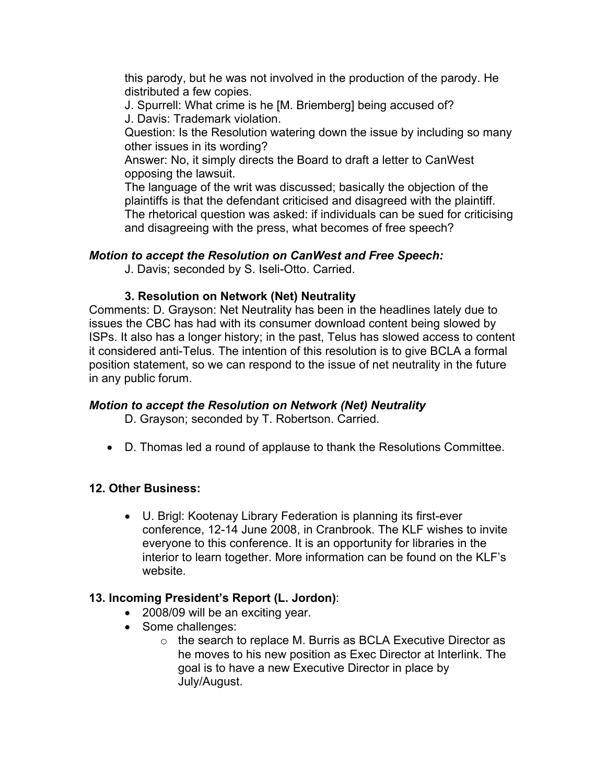this parody, but he was not involved in the production of the parody. He distributed a few copies.

J. Spurrell: What crime is he [M. Briemberg] being accused of? J. Davis: Trademark violation.

Question: Is the Resolution watering down the issue by including so many other issues in its wording?

Answer: No, it simply directs the Board to draft a letter to CanWest opposing the lawsuit.

The language of the writ was discussed; basically the objection of the plaintiffs is that the defendant criticised and disagreed with the plaintiff. The rhetorical question was asked: if individuals can be sued for criticising and disagreeing with the press, what becomes of free speech?

## *Motion to accept the Resolution on CanWest and Free Speech:*

J. Davis; seconded by S. Iseli-Otto. Carried.

# **3. Resolution on Network (Net) Neutrality**

Comments: D. Grayson: Net Neutrality has been in the headlines lately due to issues the CBC has had with its consumer download content being slowed by ISPs. It also has a longer history; in the past, Telus has slowed access to content it considered anti-Telus. The intention of this resolution is to give BCLA a formal position statement, so we can respond to the issue of net neutrality in the future in any public forum.

## *Motion to accept the Resolution on Network (Net) Neutrality*

D. Grayson; seconded by T. Robertson. Carried.

• D. Thomas led a round of applause to thank the Resolutions Committee.

# **12. Other Business:**

• U. Brigl: Kootenay Library Federation is planning its first-ever conference, 12-14 June 2008, in Cranbrook. The KLF wishes to invite everyone to this conference. It is an opportunity for libraries in the interior to learn together. More information can be found on the KLF's website.

# **13. Incoming President's Report (L. Jordon)**:

- 2008/09 will be an exciting year.
- Some challenges:
	- o the search to replace M. Burris as BCLA Executive Director as he moves to his new position as Exec Director at Interlink. The goal is to have a new Executive Director in place by July/August.